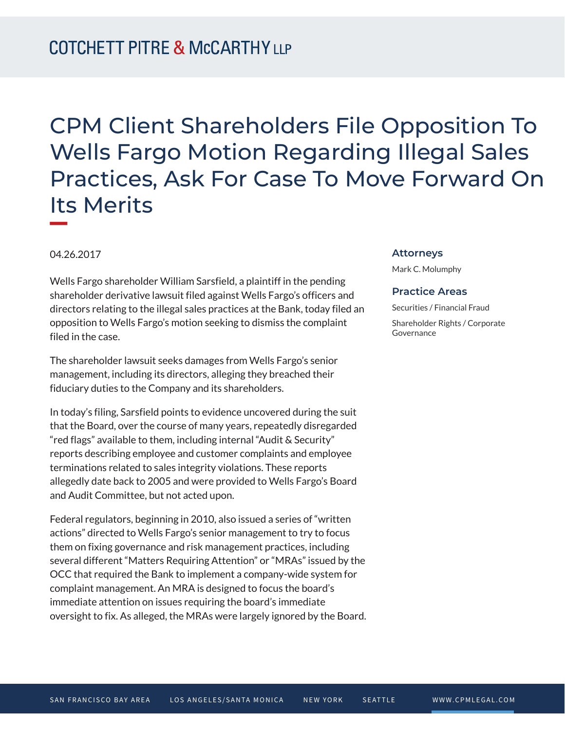# CPM Client Shareholders File Opposition To Wells Fargo Motion Regarding Illegal Sales Practices, Ask For Case To Move Forward On Its Merits

04.26.2017

**William Company** 

Wells Fargo shareholder William Sarsfield, a plaintiff in the pending shareholder derivative lawsuit filed against Wells Fargo's officers and directors relating to the illegal sales practices at the Bank, today filed an opposition to Wells Fargo's motion seeking to dismiss the complaint filed in the case.

The shareholder lawsuit seeks damages from Wells Fargo's senior management, including its directors, alleging they breached their fiduciary duties to the Company and its shareholders.

In today's filing, Sarsfield points to evidence uncovered during the suit that the Board, over the course of many years, repeatedly disregarded "red flags" available to them, including internal "Audit & Security" reports describing employee and customer complaints and employee terminations related to sales integrity violations. These reports allegedly date back to 2005 and were provided to Wells Fargo's Board and Audit Committee, but not acted upon.

Federal regulators, beginning in 2010, also issued a series of "written actions" directed to Wells Fargo's senior management to try to focus them on fixing governance and risk management practices, including several different "Matters Requiring Attention" or "MRAs" issued by the OCC that required the Bank to implement a company-wide system for complaint management. An MRA is designed to focus the board's immediate attention on issues requiring the board's immediate oversight to fix. As alleged, the MRAs were largely ignored by the Board.

#### **Attorneys**

Mark C. Molumphy

#### **Practice Areas**

Securities / Financial Fraud

Shareholder Rights / Corporate Governance